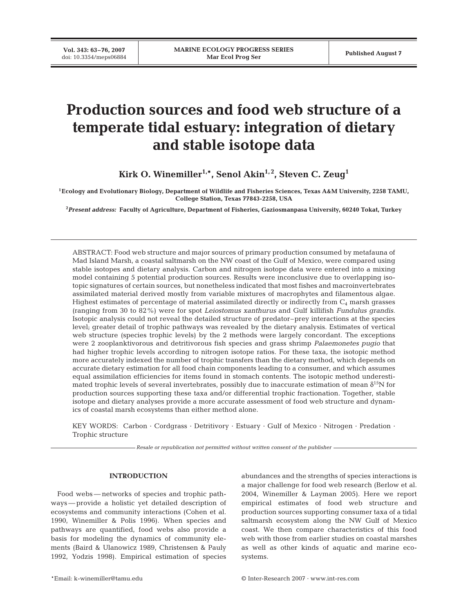**Vol. 343: 63–76, 2007**

# **Production sources and food web structure of a temperate tidal estuary: integration of dietary and stable isotope data**

Kirk O. Winemiller<sup>1,\*</sup>, Senol Akin<sup>1,2</sup>, Steven C. Zeug<sup>1</sup>

**1Ecology and Evolutionary Biology, Department of Wildlife and Fisheries Sciences, Texas A&M University, 2258 TAMU, College Station, Texas 77843-2258, USA**

**2** *Present address:* **Faculty of Agriculture, Department of Fisheries, Gaziosmanpasa University, 60240 Tokat, Turkey**

ABSTRACT: Food web structure and major sources of primary production consumed by metafauna of Mad Island Marsh, a coastal saltmarsh on the NW coast of the Gulf of Mexico, were compared using stable isotopes and dietary analysis. Carbon and nitrogen isotope data were entered into a mixing model containing 5 potential production sources. Results were inconclusive due to overlapping isotopic signatures of certain sources, but nonetheless indicated that most fishes and macroinvertebrates assimilated material derived mostly from variable mixtures of macrophytes and filamentous algae. Highest estimates of percentage of material assimilated directly or indirectly from  $C_4$  marsh grasses (ranging from 30 to 82%) were for spot *Leiostomus xanthurus* and Gulf killifish *Fundulus grandis*. Isotopic analysis could not reveal the detailed structure of predator–prey interactions at the species level; greater detail of trophic pathways was revealed by the dietary analysis. Estimates of vertical web structure (species trophic levels) by the 2 methods were largely concordant. The exceptions were 2 zooplanktivorous and detritivorous fish species and grass shrimp *Palaemonetes pugio* that had higher trophic levels according to nitrogen isotope ratios. For these taxa, the isotopic method more accurately indexed the number of trophic transfers than the dietary method, which depends on accurate dietary estimation for all food chain components leading to a consumer, and which assumes equal assimilation efficiencies for items found in stomach contents. The isotopic method underestimated trophic levels of several invertebrates, possibly due to inaccurate estimation of mean  $\delta^{15}N$  for production sources supporting these taxa and/or differential trophic fractionation. Together, stable isotope and dietary analyses provide a more accurate assessment of food web structure and dynamics of coastal marsh ecosystems than either method alone.

KEY WORDS: Carbon · Cordgrass · Detritivory · Estuary · Gulf of Mexico · Nitrogen · Predation · Trophic structure

*Resale or republication not permitted without written consent of the publisher*

## **INTRODUCTION**

Food webs — networks of species and trophic pathways — provide a holistic yet detailed description of ecosystems and community interactions (Cohen et al. 1990, Winemiller & Polis 1996). When species and pathways are quantified, food webs also provide a basis for modeling the dynamics of community elements (Baird & Ulanowicz 1989, Christensen & Pauly 1992, Yodzis 1998). Empirical estimation of species

abundances and the strengths of species interactions is a major challenge for food web research (Berlow et al. 2004, Winemiller & Layman 2005). Here we report empirical estimates of food web structure and production sources supporting consumer taxa of a tidal saltmarsh ecosystem along the NW Gulf of Mexico coast. We then compare characteristics of this food web with those from earlier studies on coastal marshes as well as other kinds of aquatic and marine ecosystems.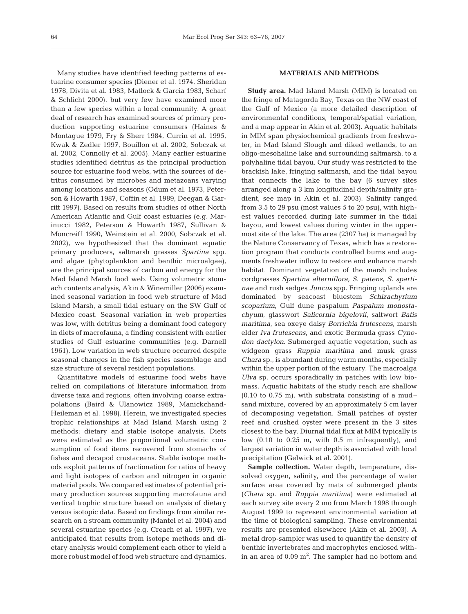Many studies have identified feeding patterns of estuarine consumer species (Diener et al. 1974, Sheridan 1978, Divita et al. 1983, Matlock & Garcia 1983, Scharf & Schlicht 2000), but very few have examined more than a few species within a local community. A great deal of research has examined sources of primary production supporting estuarine consumers (Haines & Montague 1979, Fry & Sherr 1984, Currin et al. 1995, Kwak & Zedler 1997, Bouillon et al. 2002, Sobczak et al. 2002, Connolly et al. 2005). Many earlier estuarine studies identified detritus as the principal production source for estuarine food webs, with the sources of detritus consumed by microbes and metazoans varying among locations and seasons (Odum et al. 1973, Peterson & Howarth 1987, Coffin et al. 1989, Deegan & Garritt 1997). Based on results from studies of other North American Atlantic and Gulf coast estuaries (e.g. Marinucci 1982, Peterson & Howarth 1987, Sullivan & Moncreiff 1990, Weinstein et al. 2000, Sobczak et al. 2002), we hypothesized that the dominant aquatic primary producers, saltmarsh grasses *Spartina* spp. and algae (phytoplankton and benthic microalgae), are the principal sources of carbon and energy for the Mad Island Marsh food web. Using volumetric stomach contents analysis, Akin & Winemiller (2006) examined seasonal variation in food web structure of Mad Island Marsh, a small tidal estuary on the SW Gulf of Mexico coast. Seasonal variation in web properties was low, with detritus being a dominant food category in diets of macrofauna, a finding consistent with earlier studies of Gulf estuarine communities (e.g. Darnell 1961). Low variation in web structure occurred despite seasonal changes in the fish species assemblage and size structure of several resident populations.

Quantitative models of estuarine food webs have relied on compilations of literature information from diverse taxa and regions, often involving coarse extrapolations (Baird & Ulanowicz 1989, Manickchand-Heileman et al. 1998). Herein, we investigated species trophic relationships at Mad Island Marsh using 2 methods: dietary and stable isotope analysis. Diets were estimated as the proportional volumetric consumption of food items recovered from stomachs of fishes and decapod crustaceans. Stable isotope methods exploit patterns of fractionation for ratios of heavy and light isotopes of carbon and nitrogen in organic material pools. We compared estimates of potential primary production sources supporting macrofauna and vertical trophic structure based on analysis of dietary versus isotopic data. Based on findings from similar research on a stream community (Mantel et al. 2004) and several estuarine species (e.g. Creach et al. 1997), we anticipated that results from isotope methods and dietary analysis would complement each other to yield a more robust model of food web structure and dynamics.

## **MATERIALS AND METHODS**

**Study area.** Mad Island Marsh (MIM) is located on the fringe of Matagorda Bay, Texas on the NW coast of the Gulf of Mexico (a more detailed description of environmental conditions, temporal/spatial variation, and a map appear in Akin et al. 2003). Aquatic habitats in MIM span physiochemical gradients from freshwater, in Mad Island Slough and diked wetlands, to an oligo-mesohaline lake and surrounding saltmarsh, to a polyhaline tidal bayou. Our study was restricted to the brackish lake, fringing saltmarsh, and the tidal bayou that connects the lake to the bay (6 survey sites arranged along a 3 km longitudinal depth/salinity gradient, see map in Akin et al. 2003). Salinity ranged from 3.5 to 29 psu (most values 5 to 20 psu), with highest values recorded during late summer in the tidal bayou, and lowest values during winter in the uppermost site of the lake. The area (2307 ha) is managed by the Nature Conservancy of Texas, which has a restoration program that conducts controlled burns and augments freshwater inflow to restore and enhance marsh habitat. Dominant vegetation of the marsh includes cordgrasses *Spartina alterniflora, S. patens, S. spartinae* and rush sedges *Juncus* spp. Fringing uplands are dominated by seacoast bluestem *Schizachyrium scoparium*, Gulf dune paspalum *Paspalum monostachyum*, glasswort *Salicornia bigelovii*, saltwort *Batis maritima*, sea oxeye daisy *Borrichia frutescens*, marsh elder *Iva frutescens*, and exotic Bermuda grass *Cynodon dactylon*. Submerged aquatic vegetation, such as widgeon grass *Ruppia maritima* and musk grass *Chara* sp., is abundant during warm months, especially within the upper portion of the estuary. The macroalga *Ulva* sp. occurs sporadically in patches with low biomass. Aquatic habitats of the study reach are shallow  $(0.10 \text{ to } 0.75 \text{ m})$ , with substrata consisting of a mudsand mixture, covered by an approximately 5 cm layer of decomposing vegetation. Small patches of oyster reef and crushed oyster were present in the 3 sites closest to the bay. Diurnal tidal flux at MIM typically is low  $(0.10 \text{ to } 0.25 \text{ m})$ , with  $0.5 \text{ m}$  infrequently), and largest variation in water depth is associated with local precipitation (Gelwick et al. 2001).

**Sample collection.** Water depth, temperature, dissolved oxygen, salinity, and the percentage of water surface area covered by mats of submerged plants (*Chara* sp. and *Ruppia maritima*) were estimated at each survey site every 2 mo from March 1998 through August 1999 to represent environmental variation at the time of biological sampling. These environmental results are presented elsewhere (Akin et al. 2003). A metal drop-sampler was used to quantify the density of benthic invertebrates and macrophytes enclosed within an area of  $0.09 \text{ m}^2$ . The sampler had no bottom and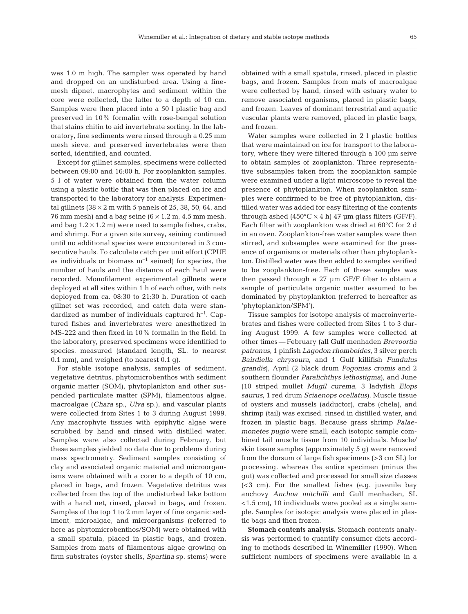was 1.0 m high. The sampler was operated by hand and dropped on an undisturbed area. Using a finemesh dipnet, macrophytes and sediment within the core were collected, the latter to a depth of 10 cm. Samples were then placed into a 50 l plastic bag and preserved in 10% formalin with rose-bengal solution that stains chitin to aid invertebrate sorting. In the laboratory, fine sediments were rinsed through a 0.25 mm mesh sieve, and preserved invertebrates were then sorted, identified, and counted.

Except for gillnet samples, specimens were collected between 09:00 and 16:00 h. For zooplankton samples, 5 l of water were obtained from the water column using a plastic bottle that was then placed on ice and transported to the laboratory for analysis. Experimental gillnets ( $38 \times 2$  m with 5 panels of 25, 38, 50, 64, and 76 mm mesh) and a bag seine  $(6 \times 1.2 \text{ m}, 4.5 \text{ mm mesh},$ and bag  $1.2 \times 1.2$  m) were used to sample fishes, crabs, and shrimp. For a given site survey, seining continued until no additional species were encountered in 3 consecutive hauls. To calculate catch per unit effort (CPUE as individuals or biomass  $m^{-1}$  seined) for species, the number of hauls and the distance of each haul were recorded. Monofilament experimental gillnets were deployed at all sites within 1 h of each other, with nets deployed from ca. 08:30 to 21:30 h. Duration of each gillnet set was recorded, and catch data were standardized as number of individuals captured  $h^{-1}$ . Captured fishes and invertebrates were anesthetized in MS-222 and then fixed in 10% formalin in the field. In the laboratory, preserved specimens were identified to species, measured (standard length, SL, to nearest 0.1 mm), and weighed (to nearest 0.1 g).

For stable isotope analysis, samples of sediment, vegetative detritus, phytomicrobenthos with sediment organic matter (SOM), phytoplankton and other suspended particulate matter (SPM), filamentous algae, macroalgae (*Chara* sp., *Ulva* sp.), and vascular plants were collected from Sites 1 to 3 during August 1999. Any macrophyte tissues with epiphytic algae were scrubbed by hand and rinsed with distilled water. Samples were also collected during February, but these samples yielded no data due to problems during mass spectrometry. Sediment samples consisting of clay and associated organic material and microorganisms were obtained with a corer to a depth of 10 cm, placed in bags, and frozen. Vegetative detritus was collected from the top of the undisturbed lake bottom with a hand net, rinsed, placed in bags, and frozen. Samples of the top 1 to 2 mm layer of fine organic sediment, microalgae, and microorganisms (referred to here as phytomicrobenthos/SOM) were obtained with a small spatula, placed in plastic bags, and frozen. Samples from mats of filamentous algae growing on firm substrates (oyster shells, *Spartina* sp. stems) were

obtained with a small spatula, rinsed, placed in plastic bags, and frozen. Samples from mats of macroalgae were collected by hand, rinsed with estuary water to remove associated organisms, placed in plastic bags, and frozen. Leaves of dominant terrestrial and aquatic vascular plants were removed, placed in plastic bags, and frozen.

Water samples were collected in 2 l plastic bottles that were maintained on ice for transport to the laboratory, where they were filtered through a 100 μm seive to obtain samples of zooplankton. Three representative subsamples taken from the zooplankton sample were examined under a light microscope to reveal the presence of phytoplankton. When zooplankton samples were confirmed to be free of phytoplankton, distilled water was added for easy filtering of the contents through ashed  $(450^{\circ}C \times 4 h)$  47 µm glass filters (GF/F). Each filter with zooplankton was dried at 60°C for 2 d in an oven. Zooplankton-free water samples were then stirred, and subsamples were examined for the presence of organisms or materials other than phytoplankton. Distilled water was then added to samples verified to be zooplankton-free. Each of these samples was then passed through a 27 μm GF/F filter to obtain a sample of particulate organic matter assumed to be dominated by phytoplankton (referred to hereafter as 'phytoplankton/SPM').

Tissue samples for isotope analysis of macroinvertebrates and fishes were collected from Sites 1 to 3 during August 1999. A few samples were collected at other times — February (all Gulf menhaden *Brevoortia patronus*, 1 pinfish *Lagodon rhomboides*, 3 silver perch *Bairdiella chrysoura*, and 1 Gulf killifish *Fundulus grandis*), April (2 black drum *Pogonias cromis* and 2 southern flounder *Paralichthys lethostigma*), and June (10 striped mullet *Mugil curema*, 3 ladyfish *Elops saurus*, 1 red drum *Sciaenops ocellatus*). Muscle tissue of oysters and mussels (adductor), crabs (chela), and shrimp (tail) was excised, rinsed in distilled water, and frozen in plastic bags. Because grass shrimp *Palaemonetes pugio* were small, each isotopic sample combined tail muscle tissue from 10 individuals. Muscle/ skin tissue samples (approximately 5 g) were removed from the dorsum of large fish specimens (>3 cm SL) for processing, whereas the entire specimen (minus the gut) was collected and processed for small size classes (<3 cm). For the smallest fishes (e.g. juvenile bay anchovy *Anchoa mitchilli* and Gulf menhaden, SL <1.5 cm), 10 individuals were pooled as a single sample. Samples for isotopic analysis were placed in plastic bags and then frozen.

**Stomach contents analysis.** Stomach contents analysis was performed to quantify consumer diets according to methods described in Winemiller (1990). When sufficient numbers of specimens were available in a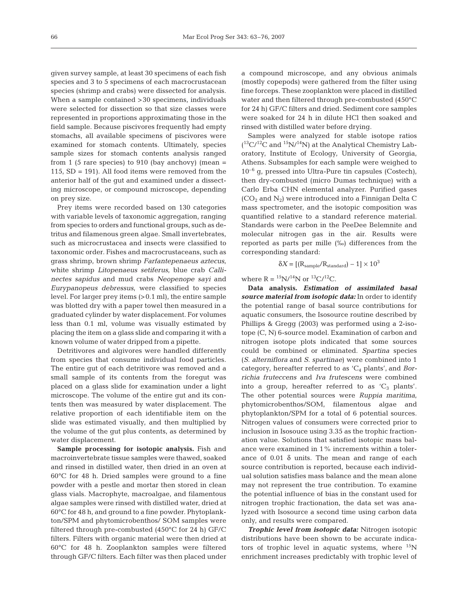given survey sample, at least 30 specimens of each fish species and 3 to 5 specimens of each macrocrustacean species (shrimp and crabs) were dissected for analysis. When a sample contained >30 specimens, individuals were selected for dissection so that size classes were represented in proportions approximating those in the field sample. Because piscivores frequently had empty stomachs, all available specimens of piscivores were examined for stomach contents. Ultimately, species sample sizes for stomach contents analysis ranged from 1 (5 rare species) to 910 (bay anchovy) (mean  $=$ 115, SD = 191). All food items were removed from the anterior half of the gut and examined under a dissecting microscope, or compound microscope, depending on prey size.

Prey items were recorded based on 130 categories with variable levels of taxonomic aggregation, ranging from species to orders and functional groups, such as detritus and filamenous green algae. Small invertebrates, such as microcrustacea and insects were classified to taxonomic order. Fishes and macrocrustaceans, such as grass shrimp, brown shrimp *Farfantepenaeus aztecus*, white shrimp *Litopenaeus setiferus*, blue crab *Callinectes sapidus* and mud crabs *Neopenope sayi* and *Eurypanopeus debressus*, were classified to species level. For larger prey items (>0.1 ml), the entire sample was blotted dry with a paper towel then measured in a graduated cylinder by water displacement. For volumes less than 0.1 ml, volume was visually estimated by placing the item on a glass slide and comparing it with a known volume of water dripped from a pipette.

Detritivores and algivores were handled differently from species that consume individual food particles. The entire gut of each detritivore was removed and a small sample of its contents from the foregut was placed on a glass slide for examination under a light microscope. The volume of the entire gut and its contents then was measured by water displacement. The relative proportion of each identifiable item on the slide was estimated visually, and then multiplied by the volume of the gut plus contents, as determined by water displacement.

**Sample processing for isotopic analysis.** Fish and macroinvertebrate tissue samples were thawed, soaked and rinsed in distilled water, then dried in an oven at 60°C for 48 h. Dried samples were ground to a fine powder with a pestle and mortar then stored in clean glass vials. Macrophyte, macroalgae, and filamentous algae samples were rinsed with distilled water, dried at 60°C for 48 h, and ground to a fine powder. Phytoplankton/SPM and phytomicrobenthos/ SOM samples were filtered through pre-combusted (450°C for 24 h) GF/C filters. Filters with organic material were then dried at 60°C for 48 h. Zooplankton samples were filtered through GF/C filters. Each filter was then placed under

a compound microscope, and any obvious animals (mostly copepods) were gathered from the filter using fine forceps. These zooplankton were placed in distilled water and then filtered through pre-combusted (450°C for 24 h) GF/C filters and dried. Sediment core samples were soaked for 24 h in dilute HCl then soaked and rinsed with distilled water before drying.

Samples were analyzed for stable isotope ratios  $(^{13}C/^{12}C$  and  $^{15}N/^{14}N$ ) at the Analytical Chemistry Laboratory, Institute of Ecology, University of Georgia, Athens. Subsamples for each sample were weighed to  $10^{-6}$  g, pressed into Ultra-Pure tin capsules (Costech), then dry-combusted (micro Dumas technique) with a Carlo Erba CHN elemental analyzer. Purified gases  $(CO<sub>2</sub>$  and  $N<sub>2</sub>$ ) were introduced into a Finnigan Delta C mass spectrometer, and the isotopic composition was quantified relative to a standard reference material. Standards were carbon in the PeeDee Belemnite and molecular nitrogen gas in the air. Results were reported as parts per mille (‰) differences from the corresponding standard:

$$
\delta X = \left[ (R_{sample}/R_{standard}) - 1 \right] \times 10^3
$$

where  $R = {^{15}N}/{^{14}N}$  or  ${^{13}C}/{^{12}C}$ .

**Data analysis.** *Estimation of assimilated basal source material from isotopic data:* In order to identify the potential range of basal source contributions for aquatic consumers, the Isosource routine described by Phillips & Gregg (2003) was performed using a 2-isotope (C, N) 6-source model. Examination of carbon and nitrogen isotope plots indicated that some sources could be combined or eliminated. *Spartina* species (*S. alterniflora* and *S. spartinae*) were combined into 1 category, hereafter referred to as 'C4 plants', and *Borrichia fruteccens* and *Iva frutescens* were combined into a group, hereafter referred to as  $^{\prime}C_{3}$  plants'. The other potential sources were *Ruppia maritima*, phytomicrobenthos/SOM, filamentous algae and phytoplankton/SPM for a total of 6 potential sources. Nitrogen values of consumers were corrected prior to inclusion in Isosouce using 3.35 as the trophic fractionation value. Solutions that satisfied isotopic mass balance were examined in 1% increments within a tolerance of  $0.01$   $\delta$  units. The mean and range of each source contribution is reported, because each individual solution satisfies mass balance and the mean alone may not represent the true contribution. To examine the potential influence of bias in the constant used for nitrogen trophic fractionation, the data set was analyzed with Isosource a second time using carbon data only, and results were compared.

*Trophic level from isotopic data:* Nitrogen isotopic distributions have been shown to be accurate indicators of trophic level in aquatic systems, where  $^{15}N$ enrichment increases predictably with trophic level of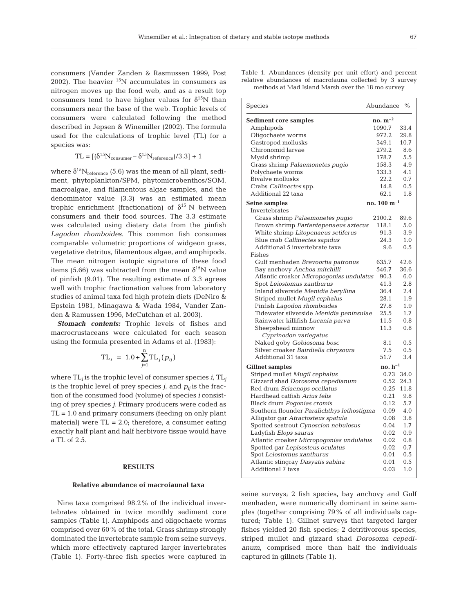consumers (Vander Zanden & Rasmussen 1999, Post 2002). The heavier  ${}^{15}N$  accumulates in consumers as nitrogen moves up the food web, and as a result top consumers tend to have higher values for  $\delta^{15}N$  than consumers near the base of the web. Trophic levels of consumers were calculated following the method described in Jepsen & Winemiller (2002). The formula used for the calculations of trophic level (TL) for a species was:

$$
TL = [(\delta^{15}N_{\rm consumer} - \delta^{15}N_{\rm reference})/3.3] + 1
$$

where  $\delta^{15}N_{\text{reference}}$  (5.6) was the mean of all plant, sediment, phytoplankton/SPM, phytomicrobenthos/SOM, macroalgae, and filamentous algae samples, and the denominator value (3.3) was an estimated mean trophic enrichment (fractionation) of  $\delta^{15}$  N between consumers and their food sources. The 3.3 estimate was calculated using dietary data from the pinfish *Lagodon rhomboides.* This common fish consumes comparable volumetric proportions of widgeon grass, vegetative detritus, filamentous algae, and amphipods. The mean nitrogen isotopic signature of these food items (5.66) was subtracted from the mean  $\delta^{15}$ N value of pinfish (9.01). The resulting estimate of 3.3 agrees well with trophic fractionation values from laboratory studies of animal taxa fed high protein diets (DeNiro & Epstein 1981, Minagawa & Wada 1984, Vander Zanden & Ramussen 1996, McCutchan et al. 2003).

*Stomach contents:* Trophic levels of fishes and macrocrustaceans were calculated for each season using the formula presented in Adams et al. (1983):

$$
TL_{i} = 1.0 + \sum_{j=1}^{n} TL_{j}(p_{ij})
$$

where TL*<sup>i</sup>* is the trophic level of consumer species *i*, TL*<sup>j</sup>* is the trophic level of prey species  $j_i$  and  $p_{ii}$  is the fraction of the consumed food (volume) of species *i* consisting of prey species *j*. Primary producers were coded as  $TL = 1.0$  and primary consumers (feeding on only plant material) were  $TL = 2.0$ ; therefore, a consumer eating exactly half plant and half herbivore tissue would have a TL of 2.5.

#### **RESULTS**

#### **Relative abundance of macrofaunal taxa**

Nine taxa comprised 98.2% of the individual invertebrates obtained in twice monthly sediment core samples (Table 1). Amphipods and oligochaete worms comprised over 60% of the total. Grass shrimp strongly dominated the invertebrate sample from seine surveys, which more effectively captured larger invertebrates (Table 1). Forty-three fish species were captured in

Table 1. Abundances (density per unit effort) and percent relative abundances of macrofauna collected by 3 survey methods at Mad Island Marsh over the 18 mo survey

| Species                                                | Abundance                                  | $\frac{0}{0}$ |
|--------------------------------------------------------|--------------------------------------------|---------------|
| <b>Sediment core samples</b>                           | no. $m^{-2}$                               |               |
| Amphipods                                              | 1090.7                                     | 33.4          |
| Oligochaete worms                                      | 972.2                                      | 29.8          |
| Gastropod mollusks                                     | 349.1                                      | 10.7          |
| Chironomid larvae                                      | 279.2                                      | 8.6           |
| Mysid shrimp                                           | 178.7                                      | 5.5           |
| Grass shrimp Palaemonetes pugio                        | 158.3                                      | 4.9           |
| Polychaete worms                                       | 133.3                                      | 4.1           |
| <b>Bivalve mollusks</b>                                | 22.2                                       | 0.7           |
| Crabs Callinectes spp.                                 | 14.8                                       | 0.5           |
| Additional 22 taxa                                     | 62.1                                       | 1.8           |
| Seine samples                                          | no. $100 \text{ m}^{-1}$                   |               |
| Invertebrates                                          |                                            |               |
| Grass shrimp Palaemonetes pugio                        | 2100.2                                     | 89.6          |
| Brown shrimp Farfantepenaeus aztecus                   | 118.1                                      | 5.0           |
| White shrimp Litopenaeus setiferus                     | 91.3                                       | 3.9           |
| Blue crab Callinectes sapidus                          | 24.3                                       | 1.0           |
| Additional 5 invertebrate taxa                         | 9.6                                        | 0.5           |
| Fishes                                                 |                                            |               |
| Gulf menhaden Brevoortia patronus                      | 635.7                                      | 42.6          |
| Bay anchovy Anchoa mitchilli                           | 546.7                                      | 36.6          |
| Atlantic croaker Micropogonias undulatus               | 90.3                                       | 6.0           |
| Spot Leiostomus xanthurus                              | 41.3                                       | 2.8           |
| Inland silverside Menidia beryllina                    | 36.4                                       | 2.4           |
| Striped mullet Mugil cephalus                          | 28.1                                       | 1.9           |
| Pinfish Lagodon rhomboides                             | 27.8                                       | 1.9           |
| Tidewater silverside Menidia peninsulae                | 25.5                                       | 1.7           |
| Rainwater killifish Lucania parva                      | 11.5                                       | 0.8           |
| Sheepshead minnow                                      | 11.3                                       | 0.8           |
| Cyprinodon variegatus<br>Naked goby Gobiosoma bosc     | 8.1                                        | 0.5           |
| Silver croaker Bairdiella chrysoura                    | 7.5                                        | 0.5           |
| Additional 31 taxa                                     | 51.7                                       | 3.4           |
|                                                        |                                            |               |
| <b>Gillnet samples</b>                                 | $\mathbf{n}\mathbf{o}$ . $\mathbf{h}^{-1}$ |               |
| Striped mullet Mugil cephalus                          | 0.73                                       | 34.0          |
| Gizzard shad Dorosoma cepedianum                       | 0.52                                       | 24.3          |
| Red drum Sciaenops ocellatus                           | 0.25                                       | 11.8          |
| Hardhead catfish Arius felis                           | 0.21                                       | 9.8           |
| Black drum Pogonias cromis                             | 0.12                                       | 5.7           |
| Southern flounder Paralichthys lethostigma             | 0.09                                       | 4.0           |
| Alligator gar Atractosteus spatula                     | 0.08                                       | 3.8<br>1.7    |
| Spotted seatrout Cynoscion nebulosus                   | 0.04                                       | 0.9           |
| Ladyfish Elops saurus                                  | 0.02                                       |               |
| Atlantic croaker Micropogonias undulatus               | 0.02                                       | 0.8<br>0.7    |
| Spotted gar Lepisosteus oculatus                       | 0.02                                       | 0.5           |
| Spot Leiostomus xanthurus                              | 0.01<br>0.01                               | 0.5           |
| Atlantic stingray Dasyatis sabina<br>Additional 7 taxa | 0.03                                       | 1.0           |
|                                                        |                                            |               |

seine surveys; 2 fish species, bay anchovy and Gulf menhaden, were numerically dominant in seine samples (together comprising 79% of all individuals captured; Table 1). Gillnet surveys that targeted larger fishes yielded 20 fish species; 2 detritivorous species, striped mullet and gizzard shad *Dorosoma cepedianum*, comprised more than half the individuals captured in gillnets (Table 1).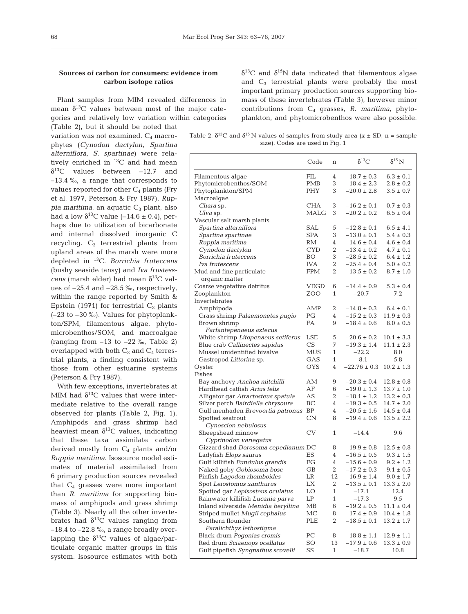# **Sources of carbon for consumers: evidence from carbon isotope ratios**

Plant samples from MIM revealed differences in mean  $\delta^{13}$ C values between most of the major categories and relatively low variation within categories

(Table 2), but it should be noted that variation was not examined.  $C_4$  macrophytes (*Cynodon dactylon*, *Spartina alterniflora, S. spartinae*) were relatively enriched in <sup>13</sup>C and had mean  $\delta^{13}$ C values between -12.7 and –13.4 ‰, a range that corresponds to values reported for other  $C_4$  plants (Fry et al. 1977, Peterson & Fry 1987). *Ruppia maritima*, an aquatic C<sub>3</sub> plant, also had a low  $\delta^{13}$ C value (-14.6 ± 0.4), perhaps due to utilization of bicarbonate and internal dissolved inorganic C recycling. C<sub>3</sub> terrestrial plants from upland areas of the marsh were more depleted in 13C. *Borrichia fruteccens* (bushy seaside tansy) and *Iva frustesscens* (marsh elder) had mean  $\delta^{13}$ C values of  $-25.4$  and  $-28.5$  ‰, respectively, within the range reported by Smith & Epstein (1971) for terrestrial  $C_3$  plants (–23 to –30 ‰). Values for phytoplankton/SPM, filamentous algae, phytomicrobenthos/SOM, and macroalgae (ranging from  $-13$  to  $-22\%$ , Table 2) overlapped with both  $C_3$  and  $C_4$  terrestrial plants, a finding consistent with those from other estuarine systems (Peterson & Fry 1987).

With few exceptions, invertebrates at MIM had  $\delta^{13}$ C values that were intermediate relative to the overall range observed for plants (Table 2, Fig. 1). Amphipods and grass shrimp had heaviest mean  $\delta^{13}$ C values, indicating that these taxa assimilate carbon derived mostly from  $C_4$  plants and/or *Ruppia maritima*. Isosource model estimates of material assimilated from 6 primary production sources revealed that  $C_4$  grasses were more important than *R. maritima* for supporting biomass of amphipods and grass shrimp (Table 3). Nearly all the other invertebrates had  $\delta^{13}$ C values ranging from  $-18.4$  to  $-22.8$  ‰, a range broadly overlapping the  $\delta^{13}$ C values of algae/particulate organic matter groups in this system. Isosource estimates with both

 $δ<sup>13</sup>C$  and  $δ<sup>15</sup>N$  data indicated that filamentous algae and  $C_3$  terrestrial plants were probably the most important primary production sources supporting biomass of these invertebrates (Table 3), however minor contributions from C4 grasses, *R. maritima*, phytoplankton, and phytomicrobenthos were also possible.

Table 2.  $\delta^{13}C$  and  $\delta^{15}N$  values of samples from study area (*x* ± SD, n = sample size). Codes are used in Fig. 1

|                                          | Code       | n              | $\delta^{13}C$   | $\delta^{15}$ N |
|------------------------------------------|------------|----------------|------------------|-----------------|
| Filamentous algae                        | FIL        | 4              | $-18.7 \pm 0.3$  | $6.3 \pm 0.1$   |
| Phytomicrobenthos/SOM                    | PMB        | 3              | $-18.4 \pm 2.3$  | $2.8 \pm 0.2$   |
| Phytoplankton/SPM                        | PHY        | 3              | $-20.0 \pm 2.8$  | $3.5 \pm 0.7$   |
| Macroalgae                               |            |                |                  |                 |
| <i>Chara</i> sp.                         | CHA        | 3              | $-16.2 \pm 0.1$  | $0.7 \pm 0.3$   |
| Ulva sp.                                 | MALG       | 3              | $-20.2 \pm 0.2$  | $6.5 \pm 0.4$   |
| Vascular salt marsh plants               |            |                |                  |                 |
| Spartina alterniflora                    | SAL        | 5              | $-12.8 \pm 0.1$  | $6.5 \pm 4.1$   |
| Spartina spartinae                       | SPA        | 3              | $-13.0 \pm 0.1$  | $5.4 \pm 0.3$   |
| Ruppia maritima                          | RМ         | 4              | $-14.6 \pm 0.4$  | $4.6 \pm 0.4$   |
| Cynodon dactylon                         | CYD        | 2              | $-13.4 \pm 0.2$  | $4.7 \pm 0.1$   |
| Borrichia fruteccens                     | BO.        | 3              | $-28.5 \pm 0.2$  | $6.4 \pm 1.2$   |
| Iva frutescens                           | <b>IVA</b> | $\overline{2}$ | $-25.4 \pm 0.4$  | $5.0 \pm 0.2$   |
| Mud and fine particulate                 | FPM        | $\overline{2}$ | $-13.5 \pm 0.2$  | $8.7 \pm 1.0$   |
| organic matter                           |            |                |                  |                 |
| Coarse vegetative detritus               | VEGD       | 6              | $-14.4 \pm 0.9$  | $5.3 \pm 0.4$   |
| Zooplankton                              | ZOO        | 1              | $-20.7$          | 7.2             |
| Invertebrates                            |            |                |                  |                 |
| Amphipoda                                | AMP        | 2              | $-14.8 \pm 0.3$  | $6.4 \pm 0.1$   |
| Grass shrimp Palaemonetes pugio          | РG         | 4              | $-15.2 \pm 0.3$  | $11.9 \pm 0.3$  |
| Brown shrimp                             | FA         | 9              | $-18.4 \pm 0.6$  | $8.0 \pm 0.5$   |
| Farfantepenaeus aztecus                  |            |                |                  |                 |
| White shrimp Litopenaeus setiferus       | LSE        | 5              | $-20.6 \pm 0.2$  | $10.1 \pm 3.3$  |
| Blue crab Callinectes sapidus            | CS         | 7              | $-19.3 \pm 1.4$  | $11.1 \pm 2.3$  |
| Mussel unidentified bivalve              | MUS        | $\mathbf{1}$   | $-22.2$          | 8.0             |
| Gastropod Littorina sp.                  | GAS        | 1              | $-8.1$           | 5.8             |
| Oyster                                   | OYS        | $\overline{4}$ | $-22.76 \pm 0.3$ | $10.2 \pm 1.3$  |
| Fishes                                   |            |                |                  |                 |
| Bay anchovy <i>Anchoa mitchilli</i>      | AМ         | 9              | $-20.3 \pm 0.4$  | $12.8 \pm 0.8$  |
| Hardhead catfish Arius felis             | AF         | 6              | $-19.0 \pm 1.3$  | $13.7 \pm 1.0$  |
| Alligator gar Atractosteus spatula       | AS         | $\overline{2}$ | $-18.1 \pm 1.2$  | $13.2 \pm 0.3$  |
| Silver perch <i>Bairdiella chrysoura</i> | BС         | 4              | $-19.3 \pm 0.5$  | $14.7 \pm 2.0$  |
| Gulf menhaden Brevoortia patronus        | <b>BP</b>  | 4              | $-20.5 \pm 1.6$  | $14.5 \pm 0.4$  |
| Spotted seatrout                         | $\rm CN$   | 8              | $-19.4 \pm 0.6$  | $13.5 \pm 2.2$  |
| Cynoscion nebulosus                      |            |                |                  |                 |
| Sheepshead minnow                        | CV         | 1              | $-14.4$          | 9.6             |
| Cyprinodon variegatus                    |            |                |                  |                 |
| Gizzard shad Dorosoma cepedianum DC      |            | 8              | $-19.9 \pm 0.8$  | $12.5 \pm 0.8$  |
| Ladyfish <i>Elops saurus</i>             | ES         | 4              | $-16.5 \pm 0.5$  | $9.3 \pm 1.5$   |
| Gulf killifish Fundulus grandis          | FG         | $\overline{4}$ | $-15.6 \pm 0.9$  | $9.2 \pm 1.2$   |
| Naked goby Gobiosoma bosc                | GВ         | 2              | $-17.2 \pm 0.3$  | $9.1 \pm 0.5$   |
| Pinfish Lagodon rhomboides               | LR         | 12             | $-16.9 \pm 1.4$  | $9.0 \pm 1.7$   |
| Spot Leiostomus xanthurus                | LX         | 2              | $-13.5 \pm 0.1$  | $13.3 \pm 2.0$  |
| Spotted gar Lepisosteus oculatus         | LO         | 1              | $-17.1$          | 12.4            |
| Rainwater killifish Lucania parva        | LP         | 1              | $-17.3$          | 9.5             |
| Inland silverside Menidia beryllina      | MB         | 6              | $-19.2 \pm 0.5$  | $11.1 \pm 0.4$  |
| Striped mullet Mugil cephalus            | МС         | 8              | $-17.4 \pm 0.9$  | $10.4 \pm 1.8$  |
| Southern flounder                        | PLE        | 2              | $-18.5 \pm 0.1$  | $13.2 \pm 1.7$  |
| Paralichthys lethostiqma                 |            |                |                  |                 |
| Black drum Pogonias cromis               | PС         | 8              | $-18.8 \pm 1.1$  | $12.9 \pm 1.1$  |
| Red drum Sciaenops ocellatus             | SO         | 13             | $-17.9 \pm 0.6$  | $13.3 \pm 0.9$  |
| Gulf pipefish Syngnathus scovelli        | SS         | 1              | $-18.7$          | 10.8            |
|                                          |            |                |                  |                 |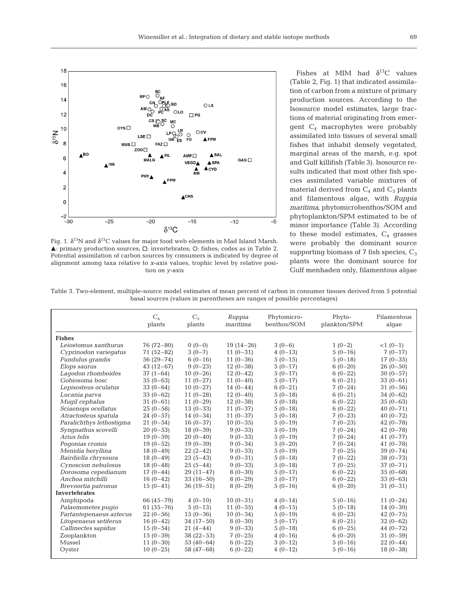

Fig. 1.  $\delta^{15}N$  and  $\delta^{13}C$  values for major food web elements in Mad Island Marsh.  $\blacktriangle$ : primary production sources;  $\square$ : invertebrates;  $\bigcirc$ : fishes; codes as in Table 2. Potential assimilation of carbon sources by consumers is indicated by degree of alignment among taxa relative to *x*-axis values, trophic level by relative position on *y*-axis

Fishes at MIM had  $\delta^{13}$ C values (Table 2, Fig. 1) that indicated assimilation of carbon from a mixture of primary production sources. According to the Isosource model estimates, large fractions of material originating from emergent  $C_4$  macrophytes were probably assimilated into tissues of several small fishes that inhabit densely vegetated, marginal areas of the marsh, e.g. spot and Gulf killifish (Table 3). Isosource results indicated that most other fish species assimilated variable mixtures of material derived from  $C_4$  and  $C_3$  plants and filamentous algae, with *Ruppia maritima*, phytomicrobenthos/SOM and phytoplankton/SPM estimated to be of minor importance (Table 3). According to these model estimates,  $C_4$  grasses were probably the dominant source supporting biomass of  $7$  fish species,  $C_3$ plants were the dominant source for Gulf menhaden only, filamentous algae

Table 3. Two-element, multiple-source model estimates of mean percent of carbon in consumer tissues derived from 5 potential basal sources (values in parentheses are ranges of possible percentages)

|                          | $C_4$<br>plants | $C_3$<br>plants | Ruppia<br>maritima | Phytomicro-<br>benthos/SOM | Phyto-<br>plankton/SPM | Filamentous<br>algae |
|--------------------------|-----------------|-----------------|--------------------|----------------------------|------------------------|----------------------|
| <b>Fishes</b>            |                 |                 |                    |                            |                        |                      |
| Leiostomus xanthurus     | 76 (72-80)      | $0(0-0)$        | $19(14-26)$        | $3(0-6)$                   | $1(0-2)$               | $<1(0-1)$            |
| Cyprinodon variegatus    | $71(52-82)$     | $3(0-7)$        | $11(0-31)$         | $4(0-13)$                  | $5(0-16)$              | $7(0-17)$            |
| Fundulus grandis         | $56(29 - 74)$   | $6(0-16)$       | $11(0-36)$         | $5(0-15)$                  | $5(0-18)$              | $17(0-35)$           |
| Elops saurus             | $43(12-67)$     | $9(0-23)$       | $12(0-38)$         | $5(0-17)$                  | $6(0-20)$              | $26(0-50)$           |
| Lagodon rhomboides       | $37(1-64)$      | $10(0-26)$      | $12(0-42)$         | $5(0-17)$                  | $6(0-22)$              | $30(0-57)$           |
| Gobiosoma bosc           | $35(0-63)$      | $11(0-27)$      | $11(0-40)$         | $5(0-17)$                  | $6(0-21)$              | $33(0-61)$           |
| Lepisosteus oculatus     | $33(0-64)$      | $10(0-27)$      | $14(0-44)$         | $6(0-21)$                  | $7(0-24)$              | $31(0-56)$           |
| Lucania parva            | $33(0-62)$      | $11(0-28)$      | $12(0-40)$         | $5(0-18)$                  | $6(0-21)$              | $34(0-62)$           |
| Mugil cephalus           | $31(0-61)$      | $11(0-29)$      | $12(0-38)$         | $5(0-18)$                  | $6(0-22)$              | $35(0-63)$           |
| Sciaenops ocellatus      | $25(0-58)$      | $13(0-33)$      | $11(0-37)$         | $5(0-18)$                  | $6(0-22)$              | 40 $(0 - 71)$        |
| Atractosteus spatula     | $24(0-57)$      | $14(0-34)$      | $11(0-37)$         | $5(0-18)$                  | $7(0-23)$              | $40(0 - 72)$         |
| Paralichthys lethostiqma | $21(0-54)$      | $16(0-37)$      | $10(0-35)$         | $5(0-19)$                  | $7(0-23)$              | $42(0 - 78)$         |
| Syngnathus scovelli      | $20(0-53)$      | $18(0-39)$      | $9(0-33)$          | $5(0-19)$                  | $7(0-24)$              | $42(0 - 78)$         |
| Arius felis              | $19(0-59)$      | $20(0-40)$      | $9(0-33)$          | $5(0-19)$                  | $7(0-24)$              | $41(0 - 77)$         |
| Pogonias cromis          | $19(0-52)$      | $19(0-39)$      | $9(0-34)$          | $5(0-20)$                  | $7(0-24)$              | 41 $(0-78)$          |
| Menidia beryllina        | $18(0-49)$      | $22(2-42)$      | $9(0-33)$          | $5(0-19)$                  | $7(0-25)$              | $39(0 - 74)$         |
| Bairdiella chrysoura     | $18(0-49)$      | $23(5-43)$      | $9(0-31)$          | $5(0-18)$                  | $7(0-22)$              | $38(0 - 73)$         |
| Cynoscion nebulosus      | $18(0-48)$      | $25(5-44)$      | $9(0-33)$          | $5(0-18)$                  | $7(0-25)$              | $37(0 - 71)$         |
| Dorosoma cepedianum      | $17(0-44)$      | $29(11-47)$     | $8(0-30)$          | $5(0-17)$                  | $6(0-22)$              | $35(0-68)$           |
| Anchoa mitchilli         | $16(0-42)$      | $33(16-50)$     | $8(0-29)$          | $5(0-17)$                  | $6(0-22)$              | $33(0-63)$           |
| Brevoortia patronus      | $15(0-41)$      | $36(19-51)$     | $8(0-29)$          | $5(0-16)$                  | $6(0-20)$              | $31(0-31)$           |
| <b>Invertebrates</b>     |                 |                 |                    |                            |                        |                      |
| Amphipoda                | 66 $(45 - 79)$  | $4(0-10)$       | $10(0-31)$         | $4(0-14)$                  | $5(0-16)$              | $11(0-24)$           |
| Palaemonetes pugio       | $61(35 - 76)$   | $5(0-13)$       | $11(0-35)$         | $4(0-15)$                  | $5(0-18)$              | $14(0-30)$           |
| Farfantepenaeus aztecus  | $22(0-56)$      | $15(0-36)$      | $10(0-34)$         | $5(0-19)$                  | $6(0-23)$              | $42(0 - 75)$         |
| Litopenaeus setiferus    | $16(0-42)$      | $34(17-50)$     | $8(0-30)$          | $5(0-17)$                  | $6(0-21)$              | $32(0-62)$           |
| Callinectes sapidus      | $15(0-54)$      | $21(4-44)$      | $9(0-33)$          | $5(0-18)$                  | $6(0-25)$              | 44 $(0 - 72)$        |
| Zooplankton              | $15(0-39)$      | $38(22-53)$     | $7(0-25)$          | $4(0-16)$                  | $6(0-20)$              | $31(0-59)$           |
| Mussel                   | $11(0-30)$      | $53(40-64)$     | $6(0-22)$          | $3(0-12)$                  | $5(0-16)$              | $22(0-44)$           |
| Oyster                   | $10(0-25)$      | $58(47-68)$     | $6(0-22)$          | $4(0-12)$                  | $5(0-16)$              | $18(0-38)$           |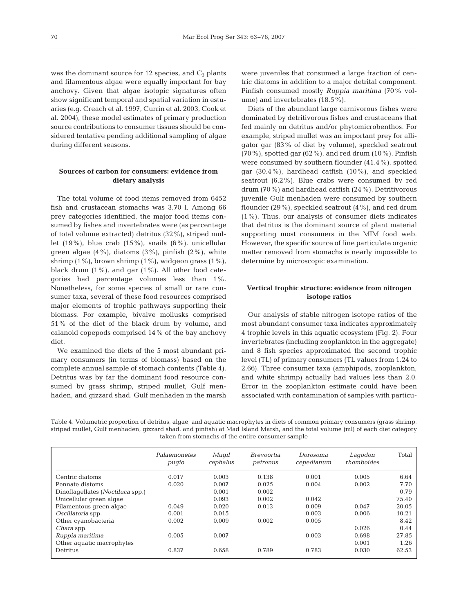was the dominant source for 12 species, and  $C_3$  plants and filamentous algae were equally important for bay anchovy. Given that algae isotopic signatures often show significant temporal and spatial variation in estuaries (e.g. Creach et al. 1997, Currin et al. 2003, Cook et al. 2004), these model estimates of primary production source contributions to consumer tissues should be considered tentative pending additional sampling of algae during different seasons.

## **Sources of carbon for consumers: evidence from dietary analysis**

The total volume of food items removed from 6452 fish and crustacean stomachs was 3.70 l. Among 66 prey categories identified, the major food items consumed by fishes and invertebrates were (as percentage of total volume extracted) detritus (32%), striped mullet  $(19\%)$ , blue crab  $(15\%)$ , snails  $(6\%)$ , unicellular green algae  $(4\%)$ , diatoms  $(3\%)$ , pinfish  $(2\%)$ , white shrimp  $(1\%)$ , brown shrimp  $(1\%)$ , widgeon grass  $(1\%)$ , black drum  $(1\%)$ , and gar  $(1\%)$ . All other food categories had percentage volumes less than 1%. Nonetheless, for some species of small or rare consumer taxa, several of these food resources comprised major elements of trophic pathways supporting their biomass. For example, bivalve mollusks comprised 51% of the diet of the black drum by volume, and calanoid copepods comprised 14% of the bay anchovy diet.

We examined the diets of the 5 most abundant primary consumers (in terms of biomass) based on the complete annual sample of stomach contents (Table 4). Detritus was by far the dominant food resource consumed by grass shrimp, striped mullet, Gulf menhaden, and gizzard shad. Gulf menhaden in the marsh were juveniles that consumed a large fraction of centric diatoms in addition to a major detrital component. Pinfish consumed mostly *Ruppia maritima* (70% volume) and invertebrates (18.5%).

Diets of the abundant large carnivorous fishes were dominated by detritivorous fishes and crustaceans that fed mainly on detritus and/or phytomicrobenthos. For example, striped mullet was an important prey for alligator gar (83% of diet by volume), speckled seatrout  $(70\%)$ , spotted gar  $(62\%)$ , and red drum  $(10\%)$ . Pinfish were consumed by southern flounder (41.4%), spotted gar (30.4%), hardhead catfish (10%), and speckled seatrout (6.2%). Blue crabs were consumed by red drum (70%) and hardhead catfish (24%). Detritivorous juvenile Gulf menhaden were consumed by southern flounder (29%), speckled seatrout (4%), and red drum (1%). Thus, our analysis of consumer diets indicates that detritus is the dominant source of plant material supporting most consumers in the MIM food web. However, the specific source of fine particulate organic matter removed from stomachs is nearly impossible to determine by microscopic examination.

# **Vertical trophic structure: evidence from nitrogen isotope ratios**

Our analysis of stable nitrogen isotope ratios of the most abundant consumer taxa indicates approximately 4 trophic levels in this aquatic ecosystem (Fig. 2). Four invertebrates (including zooplankton in the aggregate) and 8 fish species approximated the second trophic level (TL) of primary consumers (TL values from 1.24 to 2.66). Three consumer taxa (amphipods, zooplankton, and white shrimp) actually had values less than 2.0. Error in the zooplankton estimate could have been associated with contamination of samples with particu-

Table 4. Volumetric proportion of detritus, algae, and aquatic macrophytes in diets of common primary consumers (grass shrimp, striped mullet, Gulf menhaden, gizzard shad, and pinfish) at Mad Island Marsh, and the total volume (ml) of each diet category taken from stomachs of the entire consumer sample

|                                          | Palaemonetes<br>pugio | Mugil<br>cephalus | <i>Brevoortia</i><br>patronus | Dorosoma<br>cepedianum | Lagodon<br>rhomboides | Total |
|------------------------------------------|-----------------------|-------------------|-------------------------------|------------------------|-----------------------|-------|
| Centric diatoms                          | 0.017                 | 0.003             | 0.138                         | 0.001                  | 0.005                 | 6.64  |
| Pennate diatoms                          | 0.020                 | 0.007             | 0.025                         | 0.004                  | 0.002                 | 7.70  |
| Dinoflagellates ( <i>Noctiluca</i> spp.) |                       | 0.001             | 0.002                         |                        |                       | 0.79  |
| Unicellular green algae                  |                       | 0.093             | 0.002                         | 0.042                  |                       | 75.40 |
| Filamentous green algae                  | 0.049                 | 0.020             | 0.013                         | 0.009                  | 0.047                 | 20.05 |
| Oscillatoria spp.                        | 0.001                 | 0.015             |                               | 0.003                  | 0.006                 | 10.21 |
| Other cyanobacteria                      | 0.002                 | 0.009             | 0.002                         | 0.005                  |                       | 8.42  |
| <i>Chara</i> spp.                        |                       |                   |                               |                        | 0.026                 | 0.44  |
| Ruppia maritima                          | 0.005                 | 0.007             |                               | 0.003                  | 0.698                 | 27.85 |
| Other aquatic macrophytes                |                       |                   |                               |                        | 0.001                 | 1.26  |
| Detritus                                 | 0.837                 | 0.658             | 0.789                         | 0.783                  | 0.030                 | 62.53 |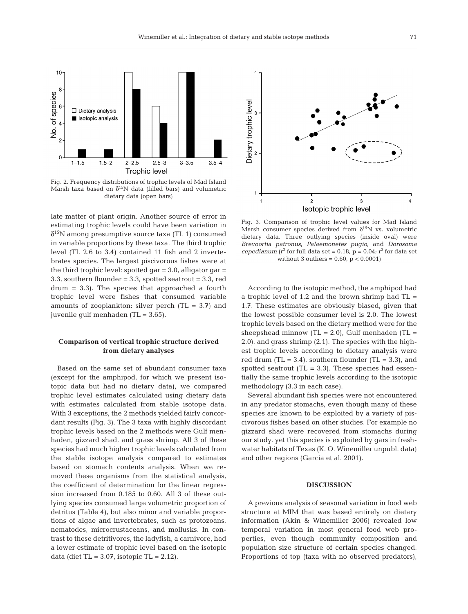

Fig. 2. Frequency distributions of trophic levels of Mad Island Marsh taxa based on  $\delta^{15}N$  data (filled bars) and volumetric dietary data (open bars)

late matter of plant origin. Another source of error in estimating trophic levels could have been variation in  $\delta^{15}$ N among presumptive source taxa (TL 1) consumed in variable proportions by these taxa. The third trophic level (TL 2.6 to 3.4) contained 11 fish and 2 invertebrates species. The largest piscivorous fishes were at the third trophic level: spotted gar  $= 3.0$ , alligator gar  $=$ 3.3, southern flounder = 3.3, spotted seatrout = 3.3, red drum = 3.3). The species that approached a fourth trophic level were fishes that consumed variable amounts of zooplankton: silver perch  $(TL = 3.7)$  and juvenile gulf menhaden (TL = 3.65).

# **Comparison of vertical trophic structure derived from dietary analyses**

Based on the same set of abundant consumer taxa (except for the amphipod, for which we present isotopic data but had no dietary data), we compared trophic level estimates calculated using dietary data with estimates calculated from stable isotope data. With 3 exceptions, the 2 methods yielded fairly concordant results (Fig. 3). The 3 taxa with highly discordant trophic levels based on the 2 methods were Gulf menhaden, gizzard shad, and grass shrimp. All 3 of these species had much higher trophic levels calculated from the stable isotope analysis compared to estimates based on stomach contents analysis. When we removed these organisms from the statistical analysis, the coefficient of determination for the linear regression increased from 0.185 to 0.60. All 3 of these outlying species consumed large volumetric proportion of detritus (Table 4), but also minor and variable proportions of algae and invertebrates, such as protozoans, nematodes, microcrustaceans, and mollusks. In contrast to these detritivores, the ladyfish, a carnivore, had a lower estimate of trophic level based on the isotopic data (diet  $TL = 3.07$ , isotopic  $TL = 2.12$ ).



Fig. 3. Comparison of trophic level values for Mad Island Marsh consumer species derived from  $\delta^{15}N$  vs. volumetric dietary data. Three outlying species (inside oval) were *Brevoortia patronus*, *Palaemonetes pugio*, and *Dorosoma cepedianum* ( $r^2$  for full data set = 0.18,  $p = 0.04$ ;  $r^2$  for data set without 3 outliers =  $0.60$ ,  $p < 0.0001$ )

According to the isotopic method, the amphipod had a trophic level of 1.2 and the brown shrimp had  $TL =$ 1.7. These estimates are obviously biased, given that the lowest possible consumer level is 2.0. The lowest trophic levels based on the dietary method were for the sheepshead minnow  $(TL = 2.0)$ , Gulf menhaden  $(TL = 1.0)$ 2.0), and grass shrimp (2.1). The species with the highest trophic levels according to dietary analysis were red drum  $(TL = 3.4)$ , southern flounder  $(TL = 3.3)$ , and spotted seatrout  $(TL = 3.3)$ . These species had essentially the same trophic levels according to the isotopic methodology (3.3 in each case).

Several abundant fish species were not encountered in any predator stomachs, even though many of these species are known to be exploited by a variety of piscivorous fishes based on other studies. For example no gizzard shad were recovered from stomachs during our study, yet this species is exploited by gars in freshwater habitats of Texas (K. O. Winemiller unpubl. data) and other regions (Garcia et al. 2001).

## **DISCUSSION**

A previous analysis of seasonal variation in food web structure at MIM that was based entirely on dietary information (Akin & Winemiller 2006) revealed low temporal variation in most general food web properties, even though community composition and population size structure of certain species changed. Proportions of top (taxa with no observed predators),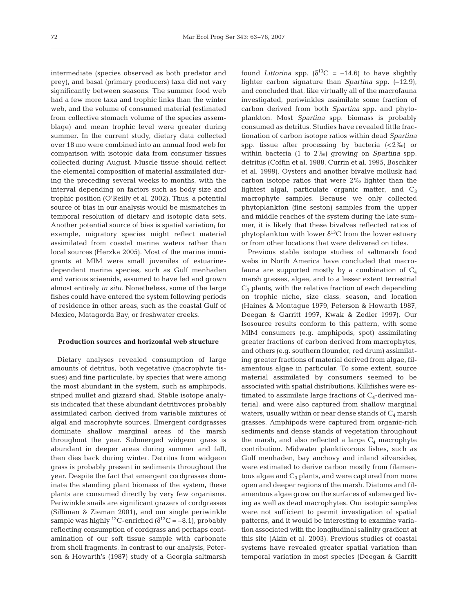intermediate (species observed as both predator and prey), and basal (primary producers) taxa did not vary significantly between seasons. The summer food web had a few more taxa and trophic links than the winter web, and the volume of consumed material (estimated from collective stomach volume of the species assemblage) and mean trophic level were greater during summer. In the current study, dietary data collected over 18 mo were combined into an annual food web for comparison with isotopic data from consumer tissues collected during August. Muscle tissue should reflect the elemental composition of material assimilated during the preceding several weeks to months, with the interval depending on factors such as body size and trophic position (O'Reilly et al. 2002). Thus, a potential source of bias in our analysis would be mismatches in temporal resolution of dietary and isotopic data sets. Another potential source of bias is spatial variation; for example, migratory species might reflect material assimilated from coastal marine waters rather than local sources (Herzka 2005). Most of the marine immigrants at MIM were small juveniles of estuarinedependent marine species, such as Gulf menhaden and various sciaenids, assumed to have fed and grown almost entirely *in situ*. Nonetheless, some of the large fishes could have entered the system following periods of residence in other areas, such as the coastal Gulf of Mexico, Matagorda Bay, or freshwater creeks.

#### **Production sources and horizontal web structure**

Dietary analyses revealed consumption of large amounts of detritus, both vegetative (macrophyte tissues) and fine particulate, by species that were among the most abundant in the system, such as amphipods, striped mullet and gizzard shad. Stable isotope analysis indicated that these abundant detritivores probably assimilated carbon derived from variable mixtures of algal and macrophyte sources. Emergent cordgrasses dominate shallow marginal areas of the marsh throughout the year. Submerged widgeon grass is abundant in deeper areas during summer and fall, then dies back during winter. Detritus from widgeon grass is probably present in sediments throughout the year. Despite the fact that emergent cordgrasses dominate the standing plant biomass of the system, these plants are consumed directly by very few organisms. Periwinkle snails are significant grazers of cordgrasses (Silliman & Zieman 2001), and our single periwinkle sample was highly <sup>13</sup>C-enriched ( $\delta^{13}$ C = -8.1), probably reflecting consumption of cordgrass and perhaps contamination of our soft tissue sample with carbonate from shell fragments. In contrast to our analysis, Peterson & Howarth's (1987) study of a Georgia saltmarsh

found *Littorina* spp.  $(\delta^{13}C = -14.6)$  to have slightly lighter carbon signature than *Spartina* spp. (–12.9), and concluded that, like virtually all of the macrofauna investigated, periwinkles assimilate some fraction of carbon derived from both *Spartina* spp. and phytoplankton. Most *Spartina* spp. biomass is probably consumed as detritus. Studies have revealed little fractionation of carbon isotope ratios within dead *Spartina* spp. tissue after processing by bacteria  $\left($  < 2‰) or within bacteria (1 to 2‰) growing on *Spartina* spp. detritus (Coffin et al. 1988, Currin et al. 1995, Boschker et al. 1999). Oysters and another bivalve mollusk had carbon isotope ratios that were 2‰ lighter than the lightest algal, particulate organic matter, and  $C_3$ macrophyte samples. Because we only collected phytoplankton (fine seston) samples from the upper and middle reaches of the system during the late summer, it is likely that these bivalves reflected ratios of phytoplankton with lower  $\delta^{13}$ C from the lower estuary or from other locations that were delivered on tides.

Previous stable isotope studies of saltmarsh food webs in North America have concluded that macrofauna are supported mostly by a combination of  $C_4$ marsh grasses, algae, and to a lesser extent terrestrial  $C_3$  plants, with the relative fraction of each depending on trophic niche, size class, season, and location (Haines & Montague 1979, Peterson & Howarth 1987, Deegan & Garritt 1997, Kwak & Zedler 1997). Our Isosource results conform to this pattern, with some MIM consumers (e.g. amphipods, spot) assimilating greater fractions of carbon derived from macrophytes, and others (e.g. southern flounder, red drum) assimilating greater fractions of material derived from algae, filamentous algae in particular. To some extent, source material assimilated by consumers seemed to be associated with spatial distributions. Killifishes were estimated to assimilate large fractions of  $C_4$ -derived material, and were also captured from shallow marginal waters, usually within or near dense stands of  $C_4$  marsh grasses. Amphipods were captured from organic-rich sediments and dense stands of vegetation throughout the marsh, and also reflected a large  $C_4$  macrophyte contribution. Midwater planktivorous fishes, such as Gulf menhaden, bay anchovy and inland silversides, were estimated to derive carbon mostly from filamentous algae and  $C_3$  plants, and were captured from more open and deeper regions of the marsh. Diatoms and filamentous algae grow on the surfaces of submerged living as well as dead macrophytes. Our isotopic samples were not sufficient to permit investigation of spatial patterns, and it would be interesting to examine variation associated with the longitudinal salinity gradient at this site (Akin et al. 2003). Previous studies of coastal systems have revealed greater spatial variation than temporal variation in most species (Deegan & Garritt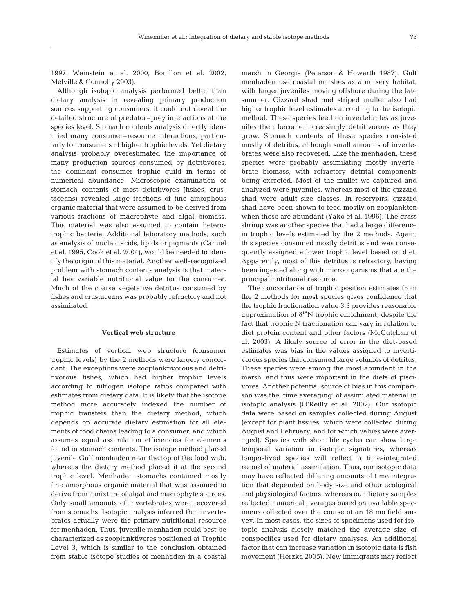1997, Weinstein et al. 2000, Bouillon et al. 2002,

Melville & Connolly 2003). Although isotopic analysis performed better than dietary analysis in revealing primary production sources supporting consumers, it could not reveal the detailed structure of predator–prey interactions at the species level. Stomach contents analysis directly identified many consumer–resource interactions, particularly for consumers at higher trophic levels. Yet dietary analysis probably overestimated the importance of many production sources consumed by detritivores, the dominant consumer trophic guild in terms of numerical abundance. Microscopic examination of stomach contents of most detritivores (fishes, crustaceans) revealed large fractions of fine amorphous organic material that were assumed to be derived from various fractions of macrophyte and algal biomass. This material was also assumed to contain heterotrophic bacteria. Additional laboratory methods, such as analysis of nucleic acids, lipids or pigments (Canuel et al. 1995, Cook et al. 2004), would be needed to identify the origin of this material. Another well-recognized problem with stomach contents analysis is that material has variable nutritional value for the consumer. Much of the coarse vegetative detritus consumed by fishes and crustaceans was probably refractory and not assimilated.

### **Vertical web structure**

Estimates of vertical web structure (consumer trophic levels) by the 2 methods were largely concordant. The exceptions were zooplanktivorous and detritivorous fishes, which had higher trophic levels according to nitrogen isotope ratios compared with estimates from dietary data. It is likely that the isotope method more accurately indexed the number of trophic transfers than the dietary method, which depends on accurate dietary estimation for all elements of food chains leading to a consumer, and which assumes equal assimilation efficiencies for elements found in stomach contents. The isotope method placed juvenile Gulf menhaden near the top of the food web, whereas the dietary method placed it at the second trophic level. Menhaden stomachs contained mostly fine amorphous organic material that was assumed to derive from a mixture of algal and macrophyte sources. Only small amounts of invertebrates were recovered from stomachs. Isotopic analysis inferred that invertebrates actually were the primary nutritional resource for menhaden. Thus, juvenile menhaden could best be characterized as zooplanktivores positioned at Trophic Level 3, which is similar to the conclusion obtained from stable isotope studies of menhaden in a coastal

marsh in Georgia (Peterson & Howarth 1987). Gulf menhaden use coastal marshes as a nursery habitat, with larger juveniles moving offshore during the late summer. Gizzard shad and striped mullet also had higher trophic level estimates according to the isotopic method. These species feed on invertebrates as juveniles then become increasingly detritivorous as they grow. Stomach contents of these species consisted mostly of detritus, although small amounts of invertebrates were also recovered. Like the menhaden, these species were probably assimilating mostly invertebrate biomass, with refractory detrital components being excreted. Most of the mullet we captured and analyzed were juveniles, whereas most of the gizzard shad were adult size classes. In reservoirs, gizzard shad have been shown to feed mostly on zooplankton when these are abundant (Yako et al. 1996). The grass shrimp was another species that had a large difference in trophic levels estimated by the 2 methods. Again, this species consumed mostly detritus and was consequently assigned a lower trophic level based on diet. Apparently, most of this detritus is refractory, having been ingested along with microorganisms that are the principal nutritional resource.

The concordance of trophic position estimates from the 2 methods for most species gives confidence that the trophic fractionation value 3.3 provides reasonable approximation of  $\delta^{15}N$  trophic enrichment, despite the fact that trophic N fractionation can vary in relation to diet protein content and other factors (McCutchan et al. 2003). A likely source of error in the diet-based estimates was bias in the values assigned to invertivorous species that consumed large volumes of detritus. These species were among the most abundant in the marsh, and thus were important in the diets of piscivores. Another potential source of bias in this comparison was the 'time averaging' of assimilated material in isotopic analysis (O'Reilly et al. 2002). Our isotopic data were based on samples collected during August (except for plant tissues, which were collected during August and February, and for which values were averaged). Species with short life cycles can show large temporal variation in isotopic signatures, whereas longer-lived species will reflect a time-integrated record of material assimilation. Thus, our isotopic data may have reflected differing amounts of time integration that depended on body size and other ecological and physiological factors, whereas our dietary samples reflected numerical averages based on available specimens collected over the course of an 18 mo field survey. In most cases, the sizes of specimens used for isotopic analysis closely matched the average size of conspecifics used for dietary analyses. An additional factor that can increase variation in isotopic data is fish movement (Herzka 2005). New immigrants may reflect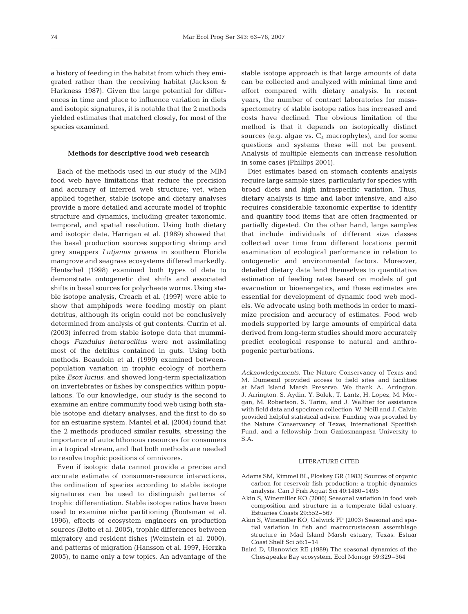a history of feeding in the habitat from which they emigrated rather than the receiving habitat (Jackson & Harkness 1987). Given the large potential for differences in time and place to influence variation in diets and isotopic signatures, it is notable that the 2 methods yielded estimates that matched closely, for most of the species examined.

#### **Methods for descriptive food web research**

Each of the methods used in our study of the MIM food web have limitations that reduce the precision and accuracy of inferred web structure; yet, when applied together, stable isotope and dietary analyses provide a more detailed and accurate model of trophic structure and dynamics, including greater taxonomic, temporal, and spatial resolution. Using both dietary and isotopic data, Harrigan et al. (1989) showed that the basal production sources supporting shrimp and grey snappers *Lutjanus griseus* in southern Florida mangrove and seagrass ecosystems differed markedly. Hentschel (1998) examined both types of data to demonstrate ontogenetic diet shifts and associated shifts in basal sources for polychaete worms. Using stable isotope analysis, Creach et al. (1997) were able to show that amphipods were feeding mostly on plant detritus, although its origin could not be conclusively determined from analysis of gut contents. Currin et al. (2003) inferred from stable isotope data that mummichogs *Fundulus heteroclitus* were not assimilating most of the detritus contained in guts. Using both methods, Beaudoin et al. (1999) examined betweenpopulation variation in trophic ecology of northern pike *Esox lucius*, and showed long-term specialization on invertebrates or fishes by conspecifics within populations. To our knowledge, our study is the second to examine an entire community food web using both stable isotope and dietary analyses, and the first to do so for an estuarine system. Mantel et al. (2004) found that the 2 methods produced similar results, stressing the importance of autochthonous resources for consumers in a tropical stream, and that both methods are needed to resolve trophic positions of omnivores.

Even if isotopic data cannot provide a precise and accurate estimate of consumer-resource interactions, the ordination of species according to stable isotope signatures can be used to distinguish patterns of trophic differentiation. Stable isotope ratios have been used to examine niche partitioning (Bootsman et al. 1996), effects of ecosystem engineers on production sources (Botto et al. 2005), trophic differences between migratory and resident fishes (Weinstein et al. 2000), and patterns of migration (Hansson et al. 1997, Herzka 2005), to name only a few topics. An advantage of the

stable isotope approach is that large amounts of data can be collected and analyzed with minimal time and effort compared with dietary analysis. In recent years, the number of contract laboratories for massspectometry of stable isotope ratios has increased and costs have declined. The obvious limitation of the method is that it depends on isotopically distinct sources (e.g. algae vs.  $C_4$  macrophytes), and for some questions and systems these will not be present. Analysis of multiple elements can increase resolution in some cases (Phillips 2001).

Diet estimates based on stomach contents analysis require large sample sizes, particularly for species with broad diets and high intraspecific variation. Thus, dietary analysis is time and labor intensive, and also requires considerable taxonomic expertise to identify and quantify food items that are often fragmented or partially digested. On the other hand, large samples that include individuals of different size classes collected over time from different locations permit examination of ecological performance in relation to ontogenetic and environmental factors. Moreover, detailed dietary data lend themselves to quantitative estimation of feeding rates based on models of gut evacuation or bioenergetics, and these estimates are essential for development of dynamic food web models. We advocate using both methods in order to maximize precision and accuracy of estimates. Food web models supported by large amounts of empirical data derived from long-term studies should more accurately predict ecological response to natural and anthropogenic perturbations.

*Acknowledgements.* The Nature Conservancy of Texas and M. Dumesnil provided access to field sites and facilities at Mad Island Marsh Preserve. We thank A. Arrington, J. Arrington, S. Aydin, Y. Bolek, T. Lantz, H. Lopez, M. Morgan, M. Robertson, S. Tarim, and J. Walther for assistance with field data and specimen collection. W. Neill and J. Calvin provided helpful statistical advice. Funding was provided by the Nature Conservancy of Texas, International Sportfish Fund, and a fellowship from Gaziosmanpasa University to S.A.

## LITERATURE CITED

- Adams SM, Kimmel BL, Ploskey GR (1983) Sources of organic carbon for reservoir fish production: a trophic-dynamics analysis. Can J Fish Aquat Sci 40:1480–1495
- Akin S, Winemiller KO (2006) Seasonal variation in food web composition and structure in a temperate tidal estuary. Estuaries Coasts 29:552–567
- Akin S, Winemiller KO, Gelwick FP (2003) Seasonal and spatial variation in fish and macrocrustacean assemblage structure in Mad Island Marsh estuary, Texas. Estuar Coast Shelf Sci 56:1–14
- Baird D, Ulanowicz RE (1989) The seasonal dynamics of the Chesapeake Bay ecosystem. Ecol Monogr 59:329–364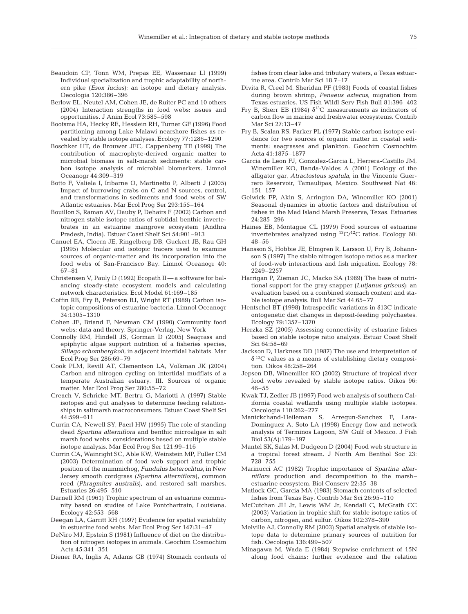- Beaudoin CP, Tonn WM, Prepas EE, Wassenaar LI (1999) Individual specialization and trophic adaptability of northern pike (*Esox lucius*): an isotope and dietary analysis. Oecologia 120:386–396
- Berlow EL, Neutel AM, Cohen JE, de Ruiter PC and 10 others (2004) Interaction strengths in food webs: issues and opportunities. J Anim Ecol 73:585–598
- Bootsma HA, Hecky RE, Hesslein RH, Turner GF (1996) Food partitioning among Lake Malawi nearshore fishes as revealed by stable isotope analyses. Ecology 77:1286–1290
- Boschker HT, de Brouwer JFC, Cappenberg TE (1999) The contribution of macrophyte-derived organic matter to microbial biomass in salt-marsh sediments: stable carbon isotope analysis of microbial biomarkers. Limnol Oceanogr 44:309–319
- Botto F, Valiela I, Iribarne O, Martinetto P, Alberti J (2005) Impact of burrowing crabs on C and N sources, control, and transformations in sediments and food webs of SW Atlantic estuaries. Mar Ecol Prog Ser 293:155–164
- Bouillon S, Raman AV, Dauby P, Dehairs F (2002) Carbon and nitrogen stable isotope ratios of subtidal benthic invertebrates in an estuarine mangrove ecosystem (Andhra Pradesh, India). Estuar Coast Shelf Sci 54:901–913
- Canuel EA, Cloern JE, Ringelberg DB, Guckert JB, Rau GH (1995) Molecular and isotopic tracers used to examine sources of organic-matter and its incorporation into the food webs of San-Francisco Bay. Limnol Oceanogr 40: 67–81
- Christensen V, Pauly D (1992) Ecopath II a software for balancing steady-state ecosystem models and calculating network characteristics. Ecol Model 61:169–185
- Coffin RB, Fry B, Peterson BJ, Wright RT (1989) Carbon isotopic compositions of estuarine bacteria. Limnol Oceanogr 34:1305–1310
- Cohen JE, Briand F, Newman CM (1990) Community food webs: data and theory. Springer-Verlag, New York
- Connolly RM, Hindell JS, Gorman D (2005) Seagrass and epiphytic algae support nutrition of a fisheries species, *Sillago schombergkoii*, in adjacent intertidal habitats. Mar Ecol Prog Ser 286:69–79
- Cook PLM, Revill AT, Clementson LA, Volkman JK (2004) Carbon and nitrogen cycling on intertidal mudflats of a temperate Australian estuary. III. Sources of organic matter. Mar Ecol Prog Ser 280:55–72
- Creach V, Schricke MT, Bertru G, Mariotti A (1997) Stable isotopes and gut analyses to determine feeding relationships in saltmarsh macroconsumers. Estuar Coast Shelf Sci 44:599–611
- Currin CA, Newell SY, Paerl HW (1995) The role of standing dead *Spartina alterniflora* and benthic microalgae in salt marsh food webs: considerations based on multiple stable isotope analysis. Mar Ecol Prog Ser 121:99–116
- Currin CA, Wainright SC, Able KW, Weinstein MP, Fuller CM (2003) Determination of food web support and trophic position of the mummichog, *Fundulus heteroclitus*, in New Jersey smooth cordgrass (*Spartina alterniflora*), common reed (*Phragmites australis*), and restored salt marshes. Estuaries 26:495–510
- Darnell RM (1961) Trophic spectrum of an estuarine community based on studies of Lake Pontchartrain, Louisiana. Ecology 42:553–568
- Deegan LA, Garritt RH (1997) Evidence for spatial variability in estuarine food webs. Mar Ecol Prog Ser 147:31–47
- DeNiro MJ, Epstein S (1981) Influence of diet on the distribution of nitrogen isotopes in animals. Geochim Cosmochim Acta 45:341–351
- Diener RA, Inglis A, Adams GB (1974) Stomach contents of

fishes from clear lake and tributary waters, a Texas estuarine area. Contrib Mar Sci 18:7–17

- Divita R, Creel M, Sheridan PF (1983) Foods of coastal fishes during brown shrimp, *Penaeus aztecus*, migration from Texas estuaries. US Fish Wildl Serv Fish Bull 81:396–402
- Fry B, Sherr EB (1984)  $\delta^{13}$ C measurements as indicators of carbon flow in marine and freshwater ecosystems. Contrib Mar Sci 27:13–47
- Fry B, Scalan RS, Parker PL (1977) Stable carbon isotope evidence for two sources of organic matter in coastal sediments: seagrasses and plankton. Geochim Cosmochim Acta 41:1875–1877
- Garcia de Leon FJ, Gonzalez-Garcia L, Herrera-Castillo JM, Winemiller KO, Banda-Valdes A (2001) Ecology of the alligator gar, *Atractosteus spatula*, in the Vincente Guerrero Reservoir, Tamaulipas, Mexico. Southwest Nat 46: 151–157
- Gelwick FP, Akin S, Arrington DA, Winemiller KO (2001) Seasonal dynamics in abiotic factors and distribution of fishes in the Mad Island Marsh Preserve, Texas. Estuaries 24:285–296
- Haines EB, Montague CL (1979) Food sources of estuarine invertebrates analyzed using  $^{13}C/^{12}C$  ratios. Ecology 60: 48–56
- Hansson S, Hobbie JE, Elmgren R, Larsson U, Fry B, Johannson S (1997) The stable nitrogen isotope ratios as a marker of food-web interactions and fish migration. Ecology 78: 2249–2257
- Harrigan P, Zieman JC, Macko SA (1989) The base of nutritional support for the gray snapper (*Lutjanus griseus*): an evaluation based on a combined stomach content and stable isotope analysis. Bull Mar Sci 44:65–77
- Hentschel BT (1998) Intraspecific variations in δ13C indicate ontogenetic diet changes in deposit-feeding polychaetes. Ecology 79:1357–1370
- Herzka SZ (2005) Assessing connectivity of estuarine fishes based on stable isotope ratio analysis. Estuar Coast Shelf Sci 64:58–69
- Jackson D, Harkness DD (1987) The use and interpretation of  $\delta$ <sup>13</sup>C values as a means of establishing dietary composition. Oikos 48:258–264
- Jepsen DB, Winemiller KO (2002) Structure of tropical river food webs revealed by stable isotope ratios. Oikos 96: 46–55
- Kwak TJ, Zedler JB (1997) Food web analysis of southern California coastal wetlands using multiple stable isotopes. Oecologia 110:262–277
- Manickchand-Heileman S, Arregun-Sanchez F, Lara-Dominguez A, Soto LA (1998) Energy flow and network analysis of Terminos Lagoon, SW Gulf of Mexico. J Fish Biol 53(A):179–197
- Mantel SK, Salas M, Dudgeon D (2004) Food web structure in a tropical forest stream. J North Am Benthol Soc 23: 728–755
- Marinucci AC (1982) Trophic importance of *Spartina alterniflora* production and decomposition to the marsh– estuarine ecosystem. Biol Conserv 22:35–38
- Matlock GC, Garcia MA (1983) Stomach contents of selected fishes from Texas Bay. Contrib Mar Sci 26:95–110
- McCutchan JH Jr, Lewis WM Jr, Kendall C, McGrath CC (2003) Variation in trophic shift for stable isotope ratios of carbon, nitrogen, and sulfur. Oikos 102:378–390
- Melville AJ, Connolly RM (2003) Spatial analysis of stable isotope data to determine primary sources of nutrition for fish. Oecologia 136:499–507
- Minagawa M, Wada E (1984) Stepwise enrichment of 15N along food chains: further evidence and the relation